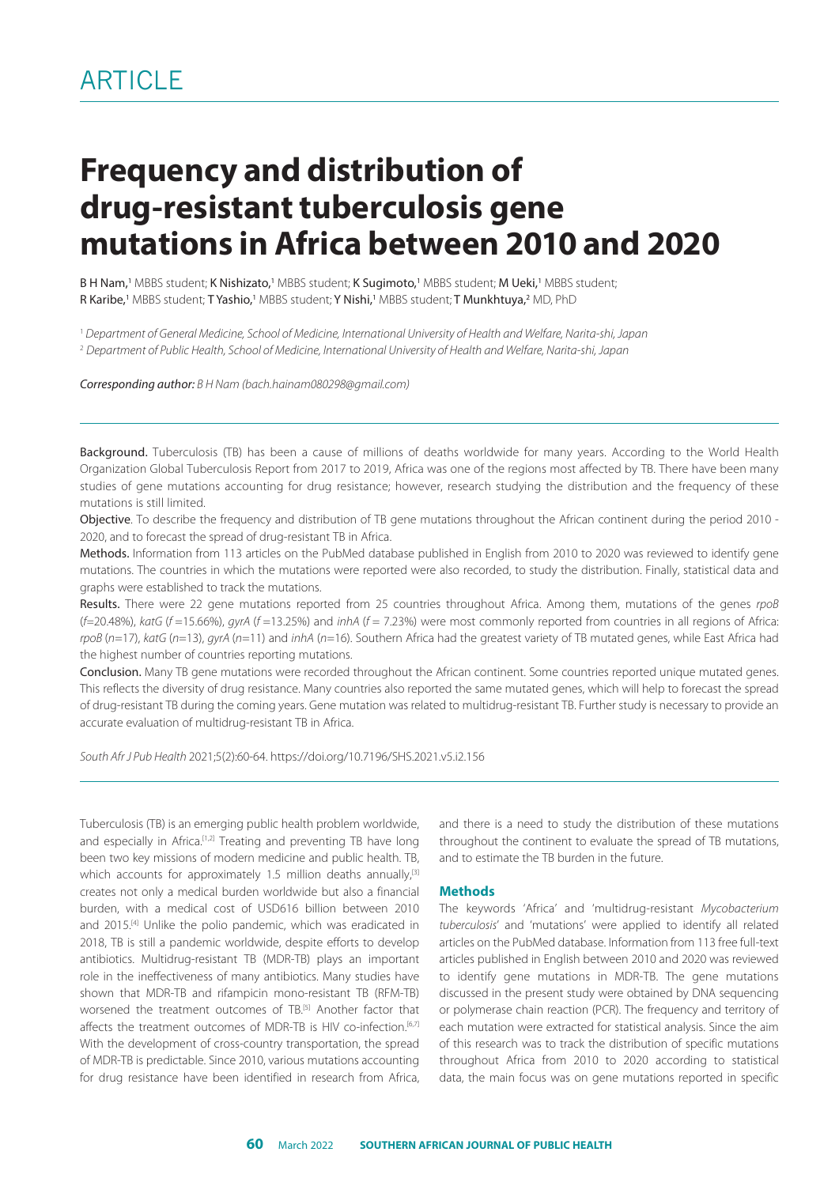# **Frequency and distribution of drug-resistant tuberculosis gene mutations in Africa between 2010 and 2020**

**B H Nam,'** MBBS student; **K Nishizato,'** MBBS student; **K Sugimoto,'** MBBS student; **M Ueki,'** MBBS student; **R Karibe,'** MBBS student; **T Yashio,'** MBBS student; **Y Nishi,'** MBBS student; **T Munkhtuya,**? MD, PhD

1  *Department of General Medicine, School of Medicine, International University of Health and Welfare, Narita-shi, Japan* 

<sup>2</sup> *Department of Public Health, School of Medicine, International University of Health and Welfare, Narita-shi, Japan*

*Corresponding author: B H Nam [\(bach.hainam080298@gmail.com](mailto:bach.hainam080298@gmail.com))*

Background. Tuberculosis (TB) has been a cause of millions of deaths worldwide for many years. According to the World Health Organization Global Tuberculosis Report from 2017 to 2019, Africa was one of the regions most affected by TB. There have been many studies of gene mutations accounting for drug resistance; however, research studying the distribution and the frequency of these mutations is still limited.

Objective. To describe the frequency and distribution of TB gene mutations throughout the African continent during the period 2010 - 2020, and to forecast the spread of drug-resistant TB in Africa.

Methods. Information from 113 articles on the PubMed database published in English from 2010 to 2020 was reviewed to identify gene mutations. The countries in which the mutations were reported were also recorded, to study the distribution. Finally, statistical data and graphs were established to track the mutations.

Results. There were 22 gene mutations reported from 25 countries throughout Africa. Among them, mutations of the genes *rpoB*  (*f=*20.48%), *katG* (*f* =15.66%), *gyrA* (*f* =13.25%) and *inhA* (*f* = 7.23%) were most commonly reported from countries in all regions of Africa: *rpoB* (*n*=17), *katG* (*n*=13), *gyrA* (*n*=11) and *inhA* (*n*=16). Southern Africa had the greatest variety of TB mutated genes, while East Africa had the highest number of countries reporting mutations.

Conclusion. Many TB gene mutations were recorded throughout the African continent. Some countries reported unique mutated genes. This reflects the diversity of drug resistance. Many countries also reported the same mutated genes, which will help to forecast the spread of drug-resistant TB during the coming years. Gene mutation was related to multidrug-resistant TB. Further study is necessary to provide an accurate evaluation of multidrug-resistant TB in Africa.

*South Afr J Pub Health* 2021;5(2):60-64.<https://doi.org/10.7196/SHS.2021.v5.i2.156>

Tuberculosis (TB) is an emerging public health problem worldwide, and especially in Africa.<sup>[1,2]</sup> Treating and preventing TB have long been two key missions of modern medicine and public health. TB, which accounts for approximately 1.5 million deaths annually.<sup>[3]</sup> creates not only a medical burden worldwide but also a financial burden, with a medical cost of USD616 billion between 2010 and 2015.<sup>[4]</sup> Unlike the polio pandemic, which was eradicated in 2018, TB is still a pandemic worldwide, despite efforts to develop antibiotics. Multidrug-resistant TB (MDR-TB) plays an important role in the ineffectiveness of many antibiotics. Many studies have shown that MDR-TB and rifampicin mono-resistant TB (RFM-TB) worsened the treatment outcomes of TB<sup>[5]</sup> Another factor that affects the treatment outcomes of MDR-TB is HIV co-infection.<sup>[6,7]</sup> With the development of cross-country transportation, the spread of MDR-TB is predictable. Since 2010, various mutations accounting for drug resistance have been identified in research from Africa,

and there is a need to study the distribution of these mutations throughout the continent to evaluate the spread of TB mutations, and to estimate the TB burden in the future.

#### **Methods**

The keywords 'Africa' and 'multidrug-resistant *Mycobacterium tuberculosis*' and 'mutations' were applied to identify all related articles on the PubMed database. Information from 113 free full-text articles published in English between 2010 and 2020 was reviewed to identify gene mutations in MDR-TB. The gene mutations discussed in the present study were obtained by DNA sequencing or polymerase chain reaction (PCR). The frequency and territory of each mutation were extracted for statistical analysis. Since the aim of this research was to track the distribution of specific mutations throughout Africa from 2010 to 2020 according to statistical data, the main focus was on gene mutations reported in specific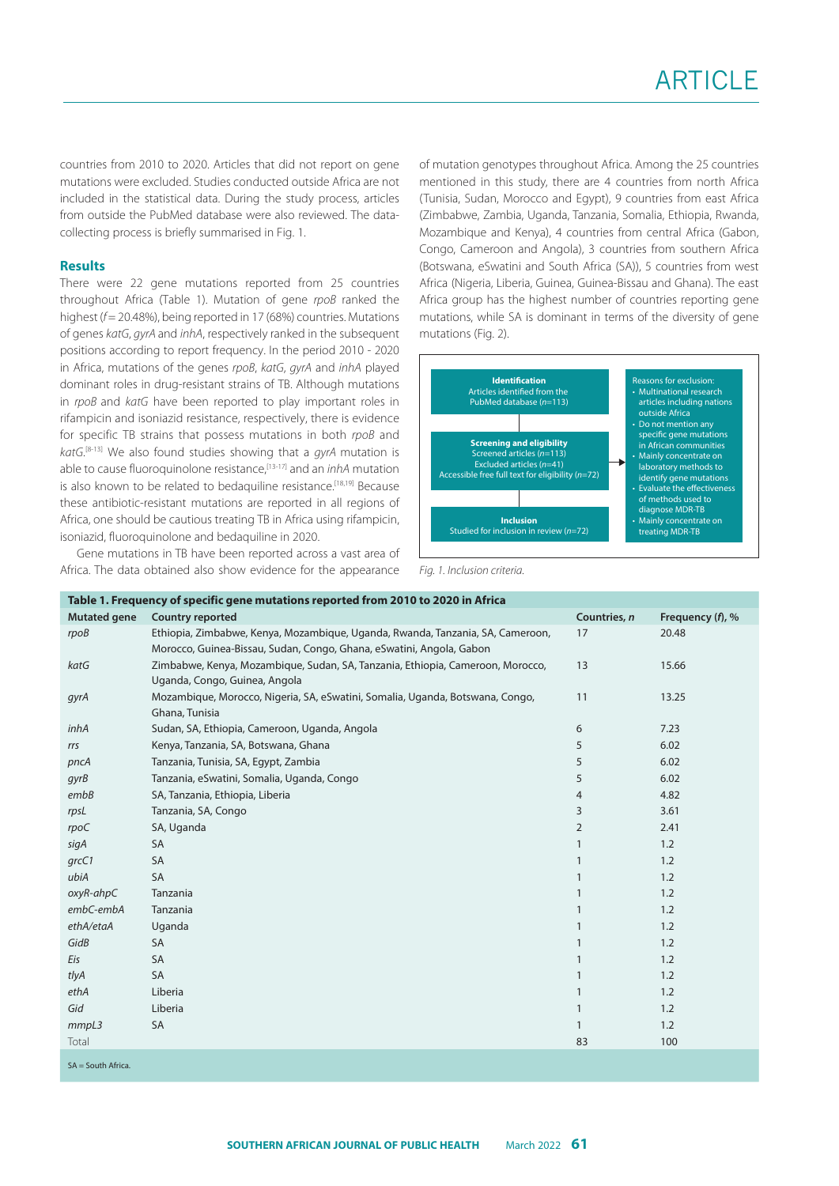countries from 2010 to 2020. Articles that did not report on gene mutations were excluded. Studies conducted outside Africa are not included in the statistical data. During the study process, articles from outside the PubMed database were also reviewed. The datacollecting process is briefly summarised in Fig. 1.

#### **Results**

There were 22 gene mutations reported from 25 countries throughout Africa (Table 1). Mutation of gene *rpoB* ranked the highest ( $f$  = 20.48%), being reported in 17 (68%) countries. Mutations of genes *katG*, *gyrA* and *inhA*, respectively ranked in the subsequent positions according to report frequency. In the period 2010 - 2020 in Africa, mutations of the genes *rpoB*, *katG*, *gyrA* and *inhA* played dominant roles in drug-resistant strains of TB. Although mutations in *rpoB* and *katG* have been reported to play important roles in rifampicin and isoniazid resistance, respectively, there is evidence for specific TB strains that possess mutations in both *rpoB* and *katG*. [8-13] We also found studies showing that a *gyrA* mutation is able to cause fluoroquinolone resistance,[13-17] and an *inhA* mutation is also known to be related to bedaquiline resistance.<sup>[18,19]</sup> Because these antibiotic-resistant mutations are reported in all regions of Africa, one should be cautious treating TB in Africa using rifampicin, isoniazid, fluoroquinolone and bedaquiline in 2020.

Gene mutations in TB have been reported across a vast area of Africa. The data obtained also show evidence for the appearance of mutation genotypes throughout Africa. Among the 25 countries mentioned in this study, there are 4 countries from north Africa (Tunisia, Sudan, Morocco and Egypt), 9 countries from east Africa (Zimbabwe, Zambia, Uganda, Tanzania, Somalia, Ethiopia, Rwanda, Mozambique and Kenya), 4 countries from central Africa (Gabon, Congo, Cameroon and Angola), 3 countries from southern Africa (Botswana, eSwatini and South Africa (SA)), 5 countries from west Africa (Nigeria, Liberia, Guinea, Guinea-Bissau and Ghana). The east Africa group has the highest number of countries reporting gene mutations, while SA is dominant in terms of the diversity of gene mutations (Fig. 2).



*Fig. 1. Inclusion criteria.*

| Table 1. Frequency of specific gene mutations reported from 2010 to 2020 in Africa |                                                                                                                                                        |                |                  |  |  |  |
|------------------------------------------------------------------------------------|--------------------------------------------------------------------------------------------------------------------------------------------------------|----------------|------------------|--|--|--|
| <b>Mutated gene</b>                                                                | <b>Country reported</b>                                                                                                                                | Countries, n   | Frequency (f), % |  |  |  |
| rpoB                                                                               | Ethiopia, Zimbabwe, Kenya, Mozambique, Uganda, Rwanda, Tanzania, SA, Cameroon,<br>Morocco, Guinea-Bissau, Sudan, Congo, Ghana, eSwatini, Angola, Gabon | 17             | 20.48            |  |  |  |
| katG                                                                               | Zimbabwe, Kenya, Mozambique, Sudan, SA, Tanzania, Ethiopia, Cameroon, Morocco,<br>Uganda, Congo, Guinea, Angola                                        | 13             | 15.66            |  |  |  |
| gyrA                                                                               | Mozambique, Morocco, Nigeria, SA, eSwatini, Somalia, Uganda, Botswana, Congo,<br>Ghana, Tunisia                                                        | 11             | 13.25            |  |  |  |
| inhA                                                                               | Sudan, SA, Ethiopia, Cameroon, Uganda, Angola                                                                                                          | 6              | 7.23             |  |  |  |
| rrs                                                                                | Kenya, Tanzania, SA, Botswana, Ghana                                                                                                                   | 5              | 6.02             |  |  |  |
| pncA                                                                               | Tanzania, Tunisia, SA, Egypt, Zambia                                                                                                                   | 5              | 6.02             |  |  |  |
| qyrB                                                                               | Tanzania, eSwatini, Somalia, Uganda, Congo                                                                                                             | 5              | 6.02             |  |  |  |
| embB                                                                               | SA, Tanzania, Ethiopia, Liberia                                                                                                                        | 4              | 4.82             |  |  |  |
| rpsL                                                                               | Tanzania, SA, Congo                                                                                                                                    | 3              | 3.61             |  |  |  |
| rpoC                                                                               | SA, Uganda                                                                                                                                             | $\overline{2}$ | 2.41             |  |  |  |
| sigA                                                                               | SA                                                                                                                                                     |                | 1.2              |  |  |  |
| grcC1                                                                              | SA                                                                                                                                                     |                | 1.2              |  |  |  |
| ubiA                                                                               | <b>SA</b>                                                                                                                                              |                | 1.2              |  |  |  |
| oxyR-ahpC                                                                          | Tanzania                                                                                                                                               |                | 1.2              |  |  |  |
| embC-embA                                                                          | Tanzania                                                                                                                                               |                | 1.2              |  |  |  |
| ethA/etaA                                                                          | Uganda                                                                                                                                                 |                | 1.2              |  |  |  |
| GidB                                                                               | <b>SA</b>                                                                                                                                              |                | 1.2              |  |  |  |
| Eis                                                                                | <b>SA</b>                                                                                                                                              |                | 1.2              |  |  |  |
| tlyA                                                                               | <b>SA</b>                                                                                                                                              |                | 1.2              |  |  |  |
| ethA                                                                               | Liberia                                                                                                                                                |                | 1.2              |  |  |  |
| Gid                                                                                | Liberia                                                                                                                                                |                | 1.2              |  |  |  |
| mmpL3                                                                              | SA                                                                                                                                                     | 1              | 1.2              |  |  |  |
| Total                                                                              |                                                                                                                                                        | 83             | 100              |  |  |  |
| $SA = South Africa$ .                                                              |                                                                                                                                                        |                |                  |  |  |  |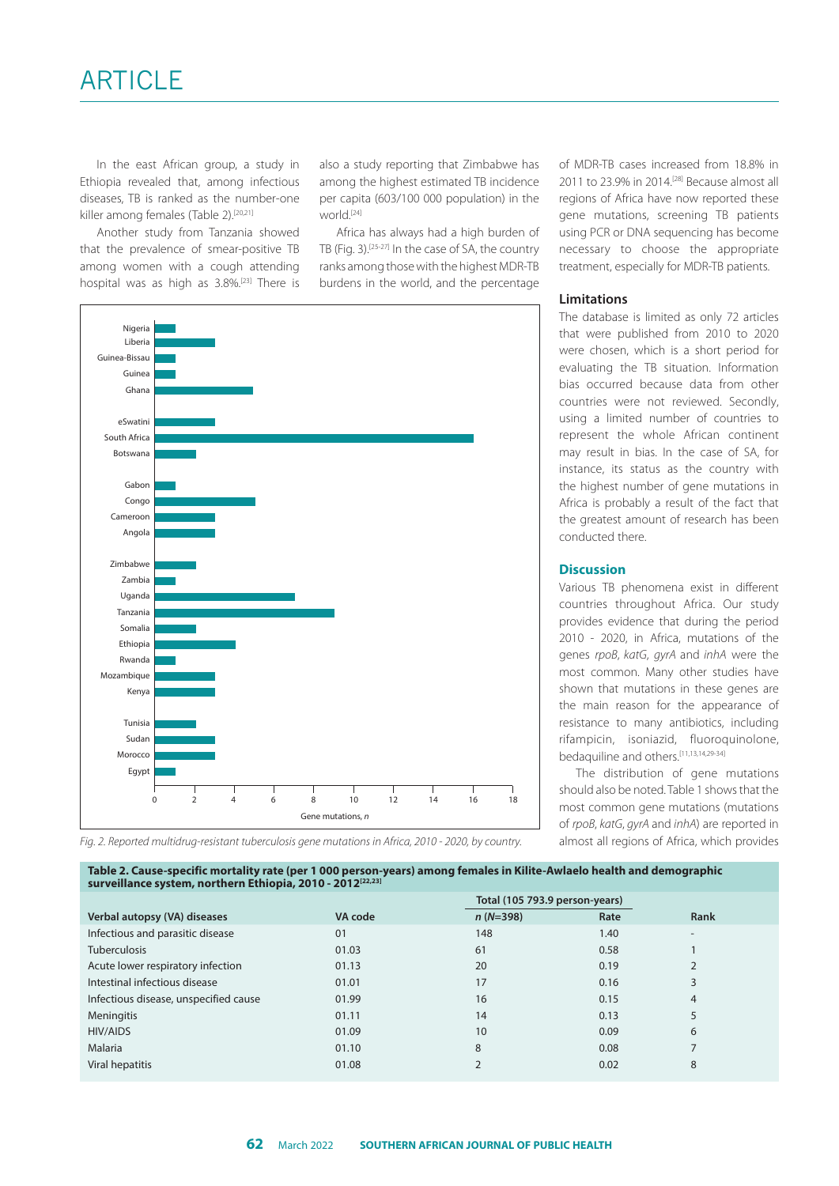In the east African group, a study in Ethiopia revealed that, among infectious diseases, TB is ranked as the number-one killer among females (Table 2).<sup>[20,21]</sup>

Another study from Tanzania showed that the prevalence of smear-positive TB among women with a cough attending hospital was as high as 3.8%.<sup>[23]</sup> There is also a study reporting that Zimbabwe has among the highest estimated TB incidence per capita (603/100 000 population) in the world.[24]

Africa has always had a high burden of TB (Fig. 3).[25-27] In the case of SA, the country ranks among those with the highest MDR-TB burdens in the world, and the percentage



of MDR-TB cases increased from 18.8% in 2011 to 23.9% in 2014.[28] Because almost all regions of Africa have now reported these gene mutations, screening TB patients using PCR or DNA sequencing has become necessary to choose the appropriate treatment, especially for MDR-TB patients.

## **Limitations**

The database is limited as only 72 articles that were published from 2010 to 2020 were chosen, which is a short period for evaluating the TB situation. Information bias occurred because data from other countries were not reviewed. Secondly, using a limited number of countries to represent the whole African continent may result in bias. In the case of SA, for instance, its status as the country with the highest number of gene mutations in Africa is probably a result of the fact that the greatest amount of research has been conducted there.

#### **Discussion**

Various TB phenomena exist in different countries throughout Africa. Our study provides evidence that during the period 2010 - 2020, in Africa, mutations of the genes *rpoB*, *katG*, *gyrA* and *inhA* were the most common. Many other studies have shown that mutations in these genes are the main reason for the appearance of resistance to many antibiotics, including rifampicin, isoniazid, fluoroquinolone, bedaquiline and others<sup>[11,13,14,29-34]</sup>

The distribution of gene mutations should also be noted. Table 1 shows that the most common gene mutations (mutations of *rpoB*, *katG*, *gyrA* and *inhA*) are reported in almost all regions of Africa, which provides

*Fig. 2. Reported multidrug-resistant tuberculosis gene mutations in Africa, 2010 - 2020, by country.*

**Table 2. Cause-specific mortality rate (per 1 000 person-years) among females in Kilite-Awlaelo health and demographic surveillance system, northern Ethiopia, 2010 - 2012[22,23]**

|                                       |         |                | Total (105 793.9 person-years) |                          |  |
|---------------------------------------|---------|----------------|--------------------------------|--------------------------|--|
| Verbal autopsy (VA) diseases          | VA code | $n(N=398)$     | Rate                           | Rank                     |  |
| Infectious and parasitic disease      | 01      | 148            | 1.40                           | $\overline{\phantom{a}}$ |  |
| <b>Tuberculosis</b>                   | 01.03   | 61             | 0.58                           |                          |  |
| Acute lower respiratory infection     | 01.13   | 20             | 0.19                           |                          |  |
| Intestinal infectious disease         | 01.01   | 17             | 0.16                           | 3                        |  |
| Infectious disease, unspecified cause | 01.99   | 16             | 0.15                           | $\overline{4}$           |  |
| Meningitis                            | 01.11   | 14             | 0.13                           | 5                        |  |
| HIV/AIDS                              | 01.09   | 10             | 0.09                           | 6                        |  |
| Malaria                               | 01.10   | 8              | 0.08                           |                          |  |
| Viral hepatitis                       | 01.08   | $\overline{2}$ | 0.02                           | 8                        |  |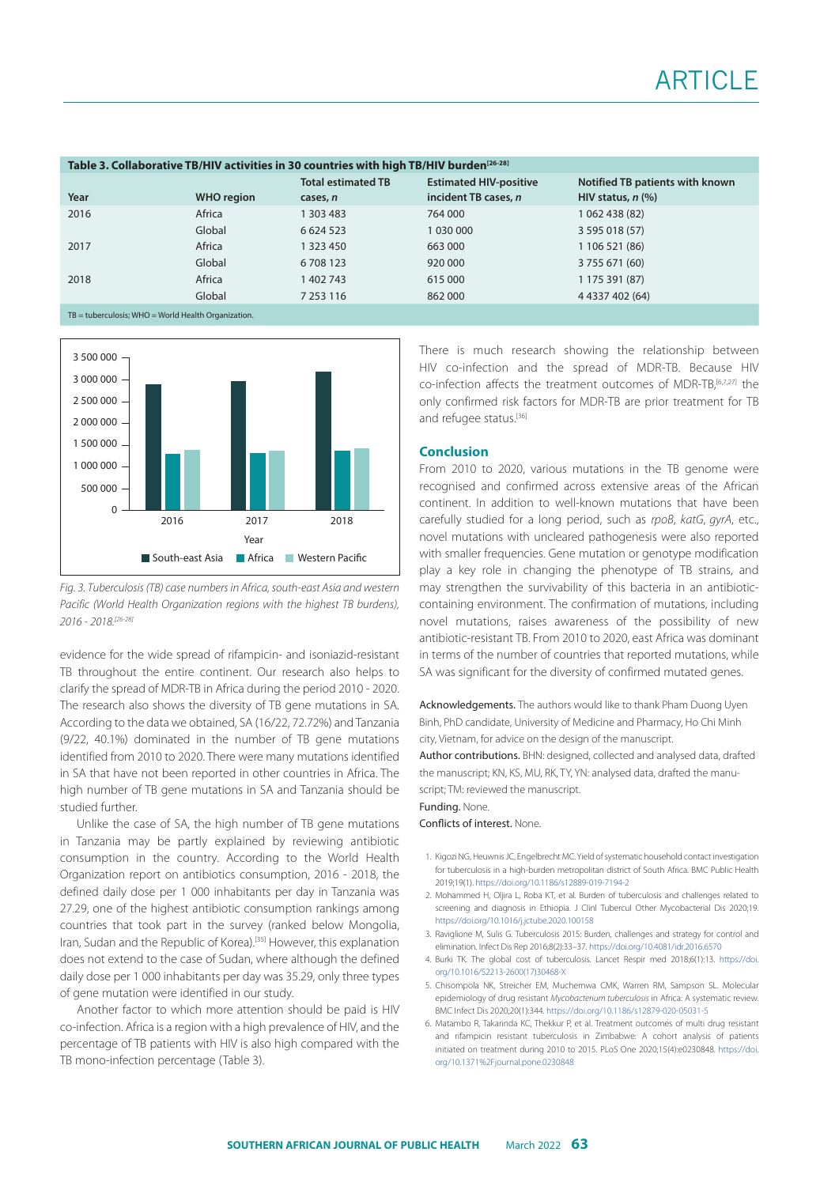| Table 3. Collaborative TB/HIV activities in 30 countries with high TB/HIV burden <sup>[26-28]</sup> |                   |                           |                               |                                 |  |  |  |  |  |
|-----------------------------------------------------------------------------------------------------|-------------------|---------------------------|-------------------------------|---------------------------------|--|--|--|--|--|
|                                                                                                     |                   | <b>Total estimated TB</b> | <b>Estimated HIV-positive</b> | Notified TB patients with known |  |  |  |  |  |
| Year                                                                                                | <b>WHO</b> region | cases, n                  | incident TB cases, n          | HIV status, $n$ (%)             |  |  |  |  |  |
| 2016                                                                                                | Africa            | 1 303 483                 | 764 000                       | 1 062 438 (82)                  |  |  |  |  |  |
|                                                                                                     | Global            | 6 6 24 5 23               | 1 030 000                     | 3 595 018 (57)                  |  |  |  |  |  |
| 2017                                                                                                | Africa            | 1 323 450                 | 663 000                       | 1 106 521 (86)                  |  |  |  |  |  |
|                                                                                                     | Global            | 6708123                   | 920 000                       | 3 755 671 (60)                  |  |  |  |  |  |
| 2018                                                                                                | Africa            | 1402743                   | 615 000                       | 1 175 391 (87)                  |  |  |  |  |  |
|                                                                                                     | Global            | 7 2 5 3 1 1 6             | 862 000                       | 4 4337 402 (64)                 |  |  |  |  |  |
| $TB =$ tuberculosis: WHO = World Health Organization.                                               |                   |                           |                               |                                 |  |  |  |  |  |



*Fig. 3. Tuberculosis (TB) case numbers in Africa, south-east Asia and western Pacific (World Health Organization regions with the highest TB burdens), 2016 - 2018.[26-28]* 

evidence for the wide spread of rifampicin- and isoniazid-resistant TB throughout the entire continent. Our research also helps to clarify the spread of MDR-TB in Africa during the period 2010 - 2020. The research also shows the diversity of TB gene mutations in SA. According to the data we obtained, SA (16/22, 72.72%) and Tanzania (9/22, 40.1%) dominated in the number of TB gene mutations identified from 2010 to 2020. There were many mutations identified in SA that have not been reported in other countries in Africa. The high number of TB gene mutations in SA and Tanzania should be studied further.

Unlike the case of SA, the high number of TB gene mutations in Tanzania may be partly explained by reviewing antibiotic consumption in the country. According to the World Health Organization report on antibiotics consumption, 2016 - 2018, the defined daily dose per 1 000 inhabitants per day in Tanzania was 27.29, one of the highest antibiotic consumption rankings among countries that took part in the survey (ranked below Mongolia, Iran, Sudan and the Republic of Korea).[35] However, this explanation does not extend to the case of Sudan, where although the defined daily dose per 1 000 inhabitants per day was 35.29, only three types of gene mutation were identified in our study.

Another factor to which more attention should be paid is HIV co-infection. Africa is a region with a high prevalence of HIV, and the percentage of TB patients with HIV is also high compared with the TB mono-infection percentage (Table 3).

There is much research showing the relationship between HIV co-infection and the spread of MDR-TB. Because HIV co-infection affects the treatment outcomes of MDR-TB,[6,7,27] the only confirmed risk factors for MDR-TB are prior treatment for TB and refugee status.<sup>[36]</sup>

#### **Conclusion**

From 2010 to 2020, various mutations in the TB genome were recognised and confirmed across extensive areas of the African continent. In addition to well-known mutations that have been carefully studied for a long period, such as *rpoB*, *katG*, *gyrA*, etc., novel mutations with uncleared pathogenesis were also reported with smaller frequencies. Gene mutation or genotype modification play a key role in changing the phenotype of TB strains, and may strengthen the survivability of this bacteria in an antibioticcontaining environment. The confirmation of mutations, including novel mutations, raises awareness of the possibility of new antibiotic-resistant TB. From 2010 to 2020, east Africa was dominant in terms of the number of countries that reported mutations, while SA was significant for the diversity of confirmed mutated genes.

Acknowledgements. The authors would like to thank Pham Duong Uyen Binh, PhD candidate, University of Medicine and Pharmacy, Ho Chi Minh city, Vietnam, for advice on the design of the manuscript. Author contributions. BHN: designed, collected and analysed data, drafted the manuscript; KN, KS, MU, RK, TY, YN: analysed data, drafted the manu-

script; TM: reviewed the manuscript.

### Funding. None.

Conflicts of interest. None.

- 1. Kigozi NG, Heuwnis JC, Engelbrecht MC. Yield of systematic household contact investigation for tuberculosis in a high-burden metropolitan district of South Africa. BMC Public Health 2019;19(1). <https://doi.org/10.1186/s12889-019-7194-2>
- 2. Mohammed H, Oljira L, Roba KT, et al. Burden of tuberculosis and challenges related to screening and diagnosis in Ethiopia. J Clinl Tubercul Other Mycobacterial Dis 2020;19. <https://doi.org/10.1016/j.jctube.2020.100158>
- 3. Raviglione M, Sulis G. Tuberculosis 2015: Burden, challenges and strategy for control and elimination. Infect Dis Rep 2016;8(2):33–37.<https://doi.org/10.4081/idr.2016.6570>
- 4. Burki TK. The global cost of tuberculosis. Lancet Respir med 2018;6(1):13. [https://doi.](http﻿s://doi.org/10.1016/S2213-2600(17)30468-X) [org/10.1016/S2213-2600\(17\)30468-X](http﻿s://doi.org/10.1016/S2213-2600(17)30468-X)
- 5. Chisompola NK, Streicher EM, Muchemwa CMK, Warren RM, Sampson SL. Molecular epidemiology of drug resistant *Mycobacterium tuberculosis* in Africa: A systematic review. BMC Infect Dis 2020;20(1):344. <https://doi.org/10.1186/s12879-020-05031-5>
- 6. Matambo R, Takarinda KC, Thekkur P, et al. Treatment outcomes of multi drug resistant and rifampicin resistant tuberculosis in Zimbabwe: A cohort analysis of patients initiated on treatment during 2010 to 2015. PLoS One 2020;15(4):e0230848. [https://doi.](https://doi.org/10.1371%2Fjournal.pone.0230848) [org/10.1371%2Fjournal.pone.0230848](https://doi.org/10.1371%2Fjournal.pone.0230848)